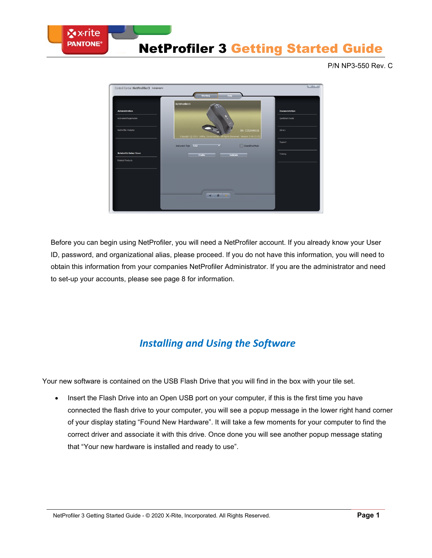

P/N NP3-550 Rev. C



Before you can begin using NetProfiler, you will need a NetProfiler account. If you already know your User ID, password, and organizational alias, please proceed. If you do not have this information, you will need to obtain this information from your companies NetProfiler Administrator. If you are the administrator and need to set-up your accounts, please see page 8 for information.

## *Installing and Using the Software*

Your new software is contained on the USB Flash Drive that you will find in the box with your tile set.

• Insert the Flash Drive into an Open USB port on your computer, if this is the first time you have connected the flash drive to your computer, you will see a popup message in the lower right hand corner of your display stating "Found New Hardware". It will take a few moments for your computer to find the correct driver and associate it with this drive. Once done you will see another popup message stating that "Your new hardware is installed and ready to use".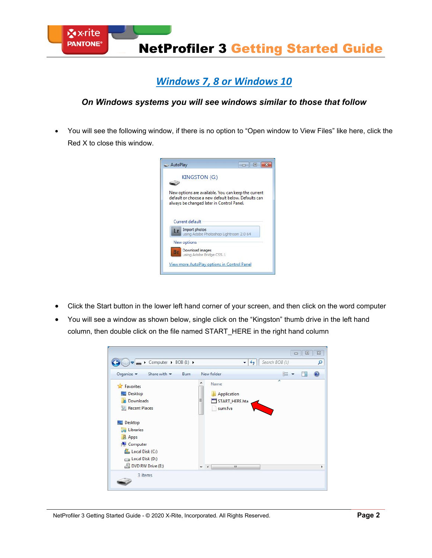

### *Windows 7, 8 or Windows 10*

### *On Windows systems you will see windows similar to those that follow*

• You will see the following window, if there is no option to "Open window to View Files" like here, click the Red X to close this window.



- Click the Start button in the lower left hand corner of your screen, and then click on the word computer
- You will see a window as shown below, single click on the "Kingston" thumb drive in the left hand column, then double click on the file named START\_HERE in the right hand column

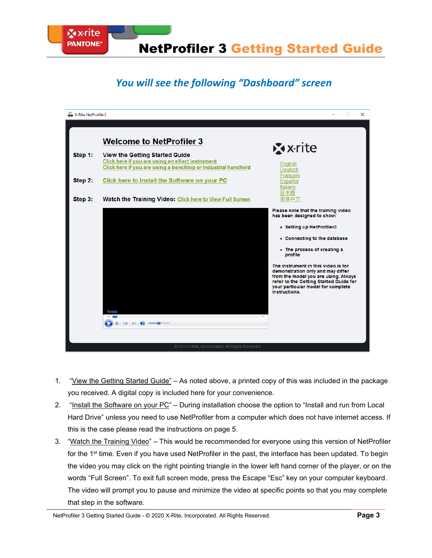

# *You will see the following "Dashboard" screen*



- 1. "View the Getting Started Guide" As noted above, a printed copy of this was included in the package you received. A digital copy is included here for your convenience.
- 2. "Install the Software on your PC" During installation choose the option to "Install and run from Local Hard Drive" unless you need to use NetProfiler from a computer which does not have internet access. If this is the case please read the instructions on page 5.
- 3. "Watch the Training Video" This would be recommended for everyone using this version of NetProfiler for the 1<sup>st</sup> time. Even if you have used NetProfiler in the past, the interface has been updated. To begin the video you may click on the right pointing triangle in the lower left hand corner of the player, or on the words "Full Screen". To exit full screen mode, press the Escape "Esc" key on your computer keyboard. The video will prompt you to pause and minimize the video at specific points so that you may complete that step in the software.

NetProfiler 3 Getting Started Guide - © 2020 X-Rite, Incorporated. All Rights Reserved. **Page 3**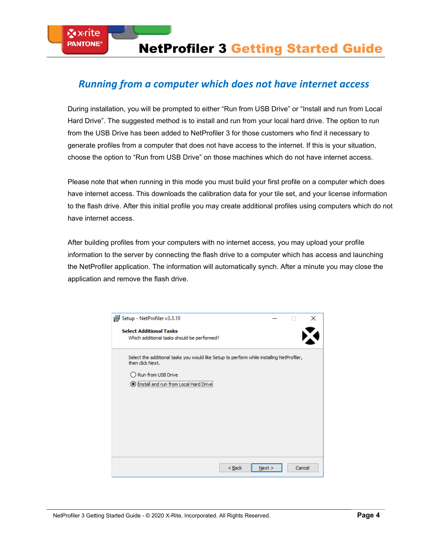### *Running from a computer which does not have internet access*

**⊠x**∙rite **PANTONE®** 

During installation, you will be prompted to either "Run from USB Drive" or "Install and run from Local Hard Drive". The suggested method is to install and run from your local hard drive. The option to run from the USB Drive has been added to NetProfiler 3 for those customers who find it necessary to generate profiles from a computer that does not have access to the internet. If this is your situation, choose the option to "Run from USB Drive" on those machines which do not have internet access.

Please note that when running in this mode you must build your first profile on a computer which does have internet access. This downloads the calibration data for your tile set, and your license information to the flash drive. After this initial profile you may create additional profiles using computers which do not have internet access.

After building profiles from your computers with no internet access, you may upload your profile information to the server by connecting the flash drive to a computer which has access and launching the NetProfiler application. The information will automatically synch. After a minute you may close the application and remove the flash drive.

| Setup - NetProfiler v3.3.10                                                                                                                                                   |  | ×      |
|-------------------------------------------------------------------------------------------------------------------------------------------------------------------------------|--|--------|
| <b>Select Additional Tasks</b><br>Which additional tasks should be performed?                                                                                                 |  |        |
| Select the additional tasks you would like Setup to perform while installing NetProfiler,<br>then click Next.<br>Run from USB Drive<br>Install and run from Local Hard D<br>О |  |        |
| $<$ Back<br>Next                                                                                                                                                              |  | Cancel |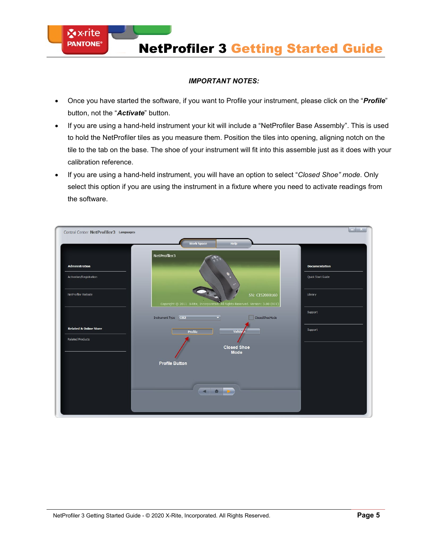#### *IMPORTANT NOTES:*

**X** x-rite **PANTONE®** 

- Once you have started the software, if you want to Profile your instrument, please click on the "*Profile*" button, not the "*Activate*" button.
- If you are using a hand-held instrument your kit will include a "NetProfiler Base Assembly". This is used to hold the NetProfiler tiles as you measure them. Position the tiles into opening, aligning notch on the tile to the tab on the base. The shoe of your instrument will fit into this assemble just as it does with your calibration reference.
- If you are using a hand-held instrument, you will have an option to select "*Closed Shoe" mode*. Only select this option if you are using the instrument in a fixture where you need to activate readings from the software.

| Control Center NetProfiler3 Languages                        |                                                                                                   | $-1$ X               |
|--------------------------------------------------------------|---------------------------------------------------------------------------------------------------|----------------------|
|                                                              | <b>Work Space</b><br>Help                                                                         |                      |
| <b>Administration</b>                                        | NetProfiler3                                                                                      | <b>Documentation</b> |
| Activation/Registration                                      |                                                                                                   | Quick Start Guide    |
| NetProfiler Website                                          | SN: CI52000160<br>Copyright @ 2011 X-Rite, Incorporated. All Rights Reserved. Version: 3.00 (B01) | Library              |
|                                                              | ClosedShoeMode<br>Instrument Type Ci52                                                            | Support              |
| <b>Related &amp; Online Store</b><br><b>Related Products</b> | Valida'<br>Profile                                                                                | Support              |
|                                                              | <b>Closed Shoe</b><br><b>Mode</b>                                                                 |                      |
|                                                              | <b>Profile Button</b>                                                                             |                      |
|                                                              | 4 8 P                                                                                             |                      |
|                                                              |                                                                                                   |                      |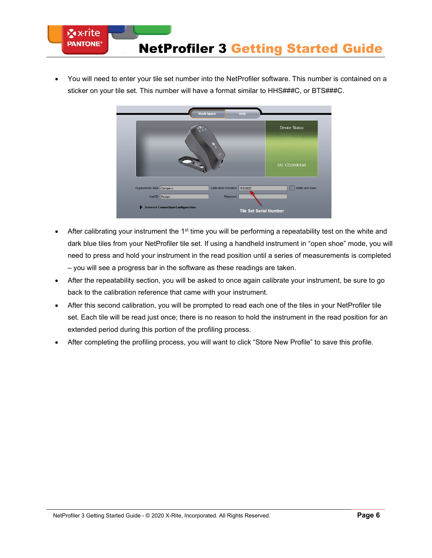

• You will need to enter your tile set number into the NetProfiler software. This number is contained on a sticker on your tile set. This number will have a format similar to HHS###C, or BTS###C.



- After calibrating your instrument the 1<sup>st</sup> time you will be performing a repeatability test on the white and dark blue tiles from your NetProfiler tile set. If using a handheld instrument in "open shoe" mode, you will need to press and hold your instrument in the read position until a series of measurements is completed – you will see a progress bar in the software as these readings are taken.
- After the repeatability section, you will be asked to once again calibrate your instrument, be sure to go back to the calibration reference that came with your instrument.
- After this second calibration, you will be prompted to read each one of the tiles in your NetProfiler tile set. Each tile will be read just once; there is no reason to hold the instrument in the read position for an extended period during this portion of the profiling process.
- After completing the profiling process, you will want to click "Store New Profile" to save this profile.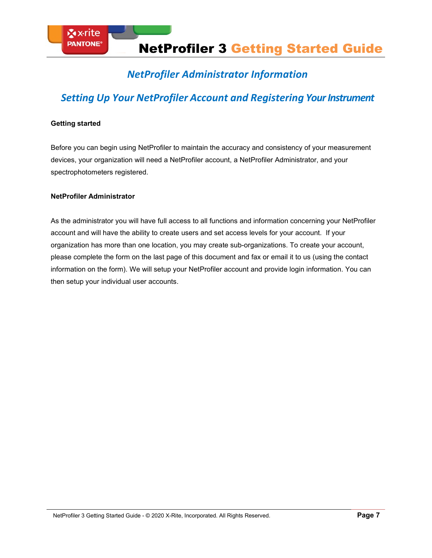## *NetProfiler Administrator Information*

## *Setting Up Your NetProfiler Account and Registering Your Instrument*

#### **Getting started**

Before you can begin using NetProfiler to maintain the accuracy and consistency of your measurement devices, your organization will need a NetProfiler account, a NetProfiler Administrator, and your spectrophotometers registered.

#### **NetProfiler Administrator**

As the administrator you will have full access to all functions and information concerning your NetProfiler account and will have the ability to create users and set access levels for your account. If your organization has more than one location, you may create sub-organizations. To create your account, please complete the form on the last page of this document and fax or email it to us (using the contact information on the form). We will setup your NetProfiler account and provide login information. You can then setup your individual user accounts.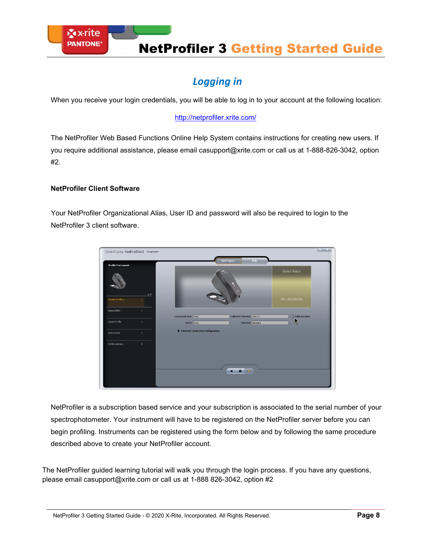# *Logging in*

When you receive your login credentials, you will be able to log in to your account at the following location:

#### <http://netprofiler.xrite.com/>

The NetProfiler Web Based Functions Online Help System contains instructions for creating new users. If you require additional assistance, please email [casupport@xrite.com o](mailto:casupport@xrite.com)r call us at 1-888-826-3042, option #2.

#### **NetProfiler Client Software**

Your NetProfiler Organizational Alias, User ID and password will also be required to login to the NetProfiler 3 client software.



NetProfiler is a subscription based service and your subscription is associated to the serial number of your spectrophotometer. Your instrument will have to be registered on the NetProfiler server before you can begin profiling. Instruments can be registered using the form below and by following the same procedure described above to create your NetProfiler account.

The NetProfiler guided learning tutorial will walk you through the login process. If you have any questions, please email [casupport@xrite.com o](mailto:casupport@xrite.com)r call us at 1-888 826-3042, option #2